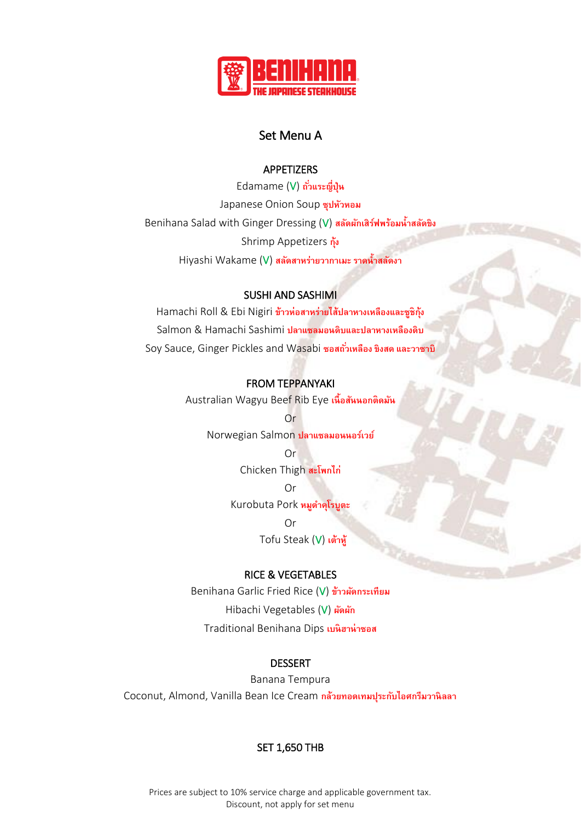

# Set Menu A

#### **APPETIZERS**

Edamame (V) ถั่วแระญี่ปุ่น Japanese Onion Soup **ซุปหัวหอม** Benihana Salad with Ginger Dressing (V) **สลดัผกัเสิรฟ์ พร้อมน ้ำสลดัขิง** Shrimp Appetizers **กุ้ง** Hiyashi Wakame (V) สลัดสาหร่ายวากาเมะ ราดน้ำสลัดงา

### SUSHI AND SASHIMI

Hamachi Roll & Ebi Nigiri **ข้ำวห่อสำหร่ำยไส้ปลำหำงเหลืองและซูชิก้งุ** Salmon & Hamachi Sashimi **ปลำแซลมอนดิบและปลำหำงเหลืองดิบ** Soy Sauce, Ginger Pickles and Wasabi **ซอสถวั่ เหลือง ขิงสด และวำซำบิ**

#### FROM TEPPANYAKI

Australian Wagyu Beef Rib Eye **เนื้อสนั นอกติดมนั**

Or Norwegian Salmon **ปลำแซลมอนนอร์เวย์**

> Or Chicken Thigh **สะโพกไก่**

> > Or

Kurobuta Pork **หมูด ำคุโรบูตะ**

Or Tofu Steak (V) **เต้ำหู้**

#### RICE & VEGETABLES

Benihana Garlic Fried Rice (V) **ข้ำวผัดกระเทียม** Hibachi Vegetables (V) **ผัดผัก** Traditional Benihana Dips **เบนิฮำน่ำซอส**

#### DESSERT

Banana Tempura Coconut, Almond, Vanilla Bean Ice Cream **กล้วยทอดเทมปรุ ะกบัไอศกรีมวำนิลลำ**

# SET 1,650 THB

Prices are subject to 10% service charge and applicable government tax. Discount, not apply for set menu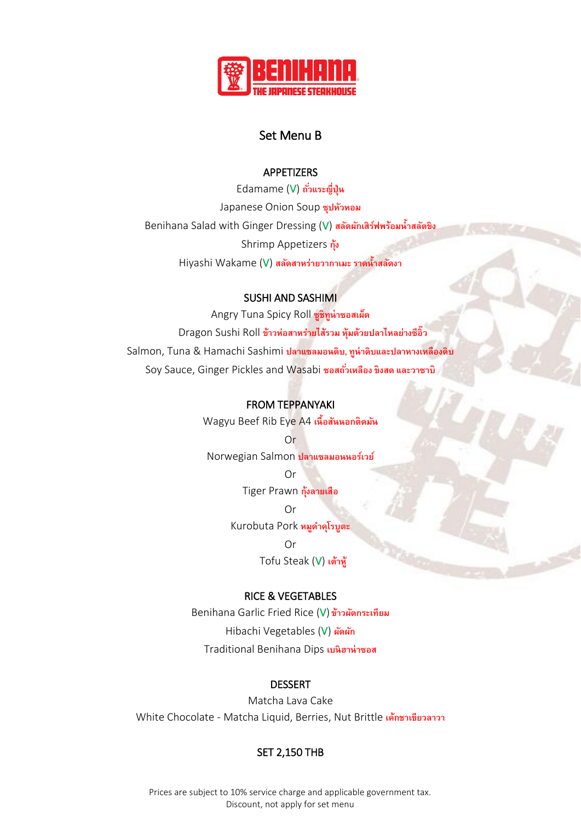

# Set Menu B

### **APPETIZERS**

Edamame (V) ถั่วแระญี่ปุ่น Japanese Onion Soup **ซุปหัวหอม** Benihana Salad with Ginger Dressing (V) สลัดผักเสิร์ฟพร้อมน้ำสลัดขิง Shrimp Appetizers **กุ้ง** Hiyashi Wakame (V) สลัดสาหร่ายวากาเมะ ราดน้ำสลัดงา

# SUSHI AND SASHIMI

Angry Tuna Spicy Roll **ซูชิทนู ่ำซอสเผด็** Dragon Sushi Roll **ข้ำวห่อสำหร่ำยไส้รวม ห้มุ ด้วยปลำไหลย่ำงซีอิ๊ว** Salmon, Tuna & Hamachi Sashimi **ปลำแซลมอนดิบ, ทูน่ำดิบและปลำหำงเหลืองดิบ** Soy Sauce, Ginger Pickles and Wasabi **ซอสถวั่ เหลือง ขิงสด และวำซำบิ**

#### FROM TEPPANYAKI

Wagyu Beef Rib Eye A4 **เนื้อสนั นอกติดมนั**

Or Norwegian Salmon **ปลำแซลมอนนอร์เวย์**

> Or Tiger Prawn **กุ้งลำยเสือ**

Or Kurobuta Pork **หมูด ำคุโรบูตะ**

> Or Tofu Steak (V) **เต้ำหู้**

# RICE & VEGETABLES

Benihana Garlic Fried Rice (V) **ข้ำวผัดกระเทียม** Hibachi Vegetables (V) **ผัดผัก** Traditional Benihana Dips **เบนิฮำน่ำซอส**

#### DESSERT

Matcha Lava Cake White Chocolate - Matcha Liquid, Berries, Nut Brittle **เค้กชำเขียวลำวำ**

# SET 2,150 THB

Prices are subject to 10% service charge and applicable government tax. Discount, not apply for set menu